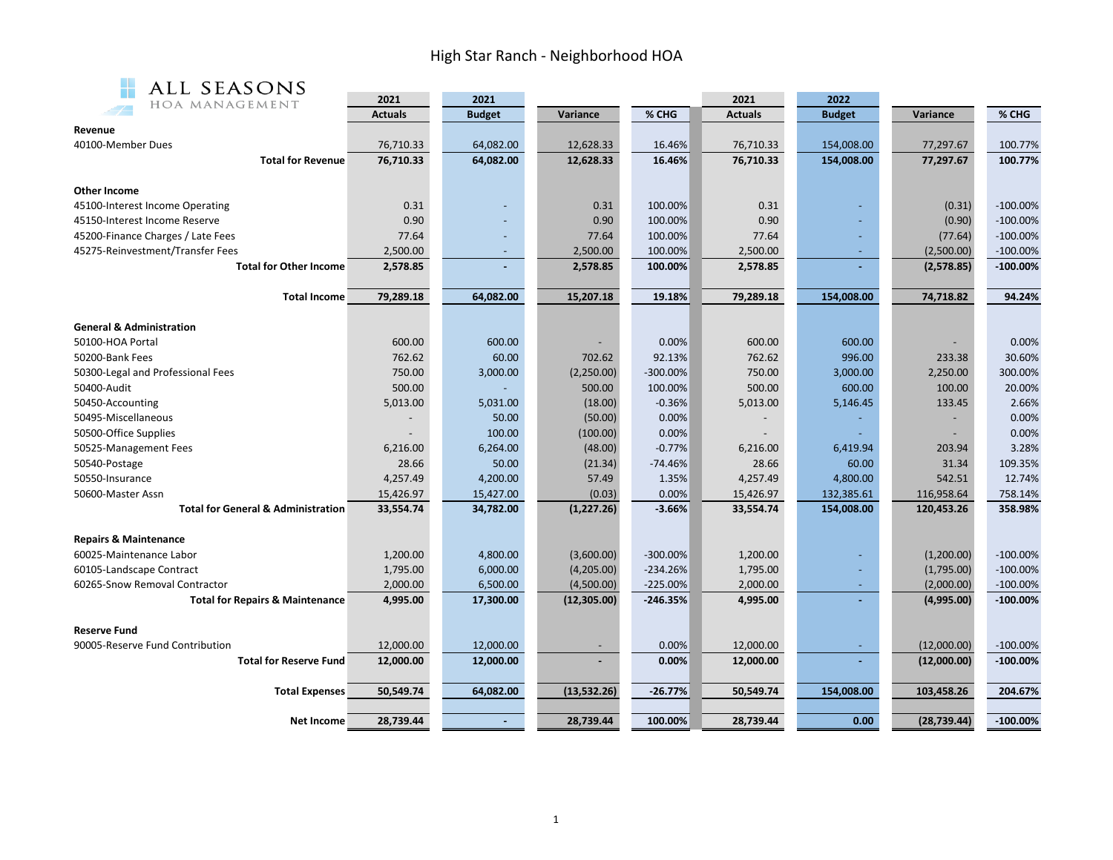## High Star Ranch - Neighborhood HOA



| ALL SEASONS                                   |                |               |              |            |                |               |              |             |
|-----------------------------------------------|----------------|---------------|--------------|------------|----------------|---------------|--------------|-------------|
| HOA MANAGEMENT                                | 2021           | 2021          |              |            | 2021           | 2022          |              |             |
|                                               | <b>Actuals</b> | <b>Budget</b> | Variance     | % CHG      | <b>Actuals</b> | <b>Budget</b> | Variance     | % CHG       |
| Revenue                                       |                |               |              |            |                |               |              |             |
| 40100-Member Dues                             | 76,710.33      | 64,082.00     | 12,628.33    | 16.46%     | 76,710.33      | 154,008.00    | 77,297.67    | 100.77%     |
| <b>Total for Revenue</b>                      | 76,710.33      | 64,082.00     | 12,628.33    | 16.46%     | 76,710.33      | 154,008.00    | 77,297.67    | 100.77%     |
| <b>Other Income</b>                           |                |               |              |            |                |               |              |             |
| 45100-Interest Income Operating               | 0.31           |               | 0.31         | 100.00%    | 0.31           |               | (0.31)       | $-100.00%$  |
| 45150-Interest Income Reserve                 | 0.90           |               | 0.90         | 100.00%    | 0.90           |               | (0.90)       | $-100.00\%$ |
| 45200-Finance Charges / Late Fees             | 77.64          |               | 77.64        | 100.00%    | 77.64          |               | (77.64)      | $-100.00%$  |
| 45275-Reinvestment/Transfer Fees              | 2,500.00       |               | 2,500.00     | 100.00%    | 2,500.00       |               | (2,500.00)   | $-100.00\%$ |
| <b>Total for Other Income</b>                 | 2,578.85       |               | 2,578.85     | 100.00%    | 2,578.85       |               | (2,578.85)   | $-100.00%$  |
|                                               |                |               |              |            |                |               |              |             |
| <b>Total Income</b>                           | 79,289.18      | 64,082.00     | 15,207.18    | 19.18%     | 79,289.18      | 154,008.00    | 74,718.82    | 94.24%      |
| <b>General &amp; Administration</b>           |                |               |              |            |                |               |              |             |
| 50100-HOA Portal                              | 600.00         | 600.00        |              | 0.00%      | 600.00         | 600.00        |              | 0.00%       |
| 50200-Bank Fees                               | 762.62         | 60.00         | 702.62       | 92.13%     | 762.62         | 996.00        | 233.38       | 30.60%      |
| 50300-Legal and Professional Fees             | 750.00         | 3,000.00      | (2,250.00)   | -300.00%   | 750.00         | 3,000.00      | 2,250.00     | 300.00%     |
| 50400-Audit                                   | 500.00         |               | 500.00       | 100.00%    | 500.00         | 600.00        | 100.00       | 20.00%      |
| 50450-Accounting                              | 5,013.00       | 5,031.00      | (18.00)      | $-0.36%$   | 5,013.00       | 5,146.45      | 133.45       | 2.66%       |
| 50495-Miscellaneous                           |                | 50.00         | (50.00)      | 0.00%      |                |               |              | 0.00%       |
| 50500-Office Supplies                         |                | 100.00        | (100.00)     | 0.00%      |                |               |              | 0.00%       |
| 50525-Management Fees                         | 6,216.00       | 6,264.00      | (48.00)      | $-0.77%$   | 6,216.00       | 6,419.94      | 203.94       | 3.28%       |
| 50540-Postage                                 | 28.66          | 50.00         | (21.34)      | $-74.46%$  | 28.66          | 60.00         | 31.34        | 109.35%     |
| 50550-Insurance                               | 4,257.49       | 4,200.00      | 57.49        | 1.35%      | 4,257.49       | 4,800.00      | 542.51       | 12.74%      |
| 50600-Master Assn                             | 15,426.97      | 15,427.00     | (0.03)       | 0.00%      | 15,426.97      | 132,385.61    | 116,958.64   | 758.14%     |
| <b>Total for General &amp; Administration</b> | 33,554.74      | 34,782.00     | (1, 227.26)  | $-3.66%$   | 33,554.74      | 154,008.00    | 120,453.26   | 358.98%     |
|                                               |                |               |              |            |                |               |              |             |
| <b>Repairs &amp; Maintenance</b>              |                |               |              |            |                |               |              |             |
| 60025-Maintenance Labor                       | 1,200.00       | 4,800.00      | (3,600.00)   | -300.00%   | 1,200.00       |               | (1,200.00)   | $-100.00%$  |
| 60105-Landscape Contract                      | 1,795.00       | 6,000.00      | (4,205.00)   | $-234.26%$ | 1,795.00       |               | (1,795.00)   | $-100.00\%$ |
| 60265-Snow Removal Contractor                 | 2,000.00       | 6,500.00      | (4,500.00)   | $-225.00%$ | 2,000.00       |               | (2,000.00)   | $-100.00\%$ |
| <b>Total for Repairs &amp; Maintenance</b>    | 4,995.00       | 17,300.00     | (12, 305.00) | $-246.35%$ | 4,995.00       |               | (4,995.00)   | $-100.00\%$ |
| <b>Reserve Fund</b>                           |                |               |              |            |                |               |              |             |
| 90005-Reserve Fund Contribution               | 12,000.00      | 12,000.00     |              | 0.00%      | 12,000.00      |               | (12,000.00)  | $-100.00\%$ |
| <b>Total for Reserve Fund</b>                 | 12,000.00      | 12,000.00     |              | 0.00%      | 12,000.00      |               | (12,000.00)  | $-100.00\%$ |
|                                               |                |               |              |            |                |               |              |             |
| <b>Total Expenses</b>                         | 50,549.74      | 64,082.00     | (13,532.26)  | $-26.77%$  | 50,549.74      | 154,008.00    | 103,458.26   | 204.67%     |
|                                               |                |               |              |            |                |               |              |             |
| <b>Net Income</b>                             | 28,739.44      |               | 28,739.44    | 100.00%    | 28,739.44      | 0.00          | (28, 739.44) | $-100.00\%$ |